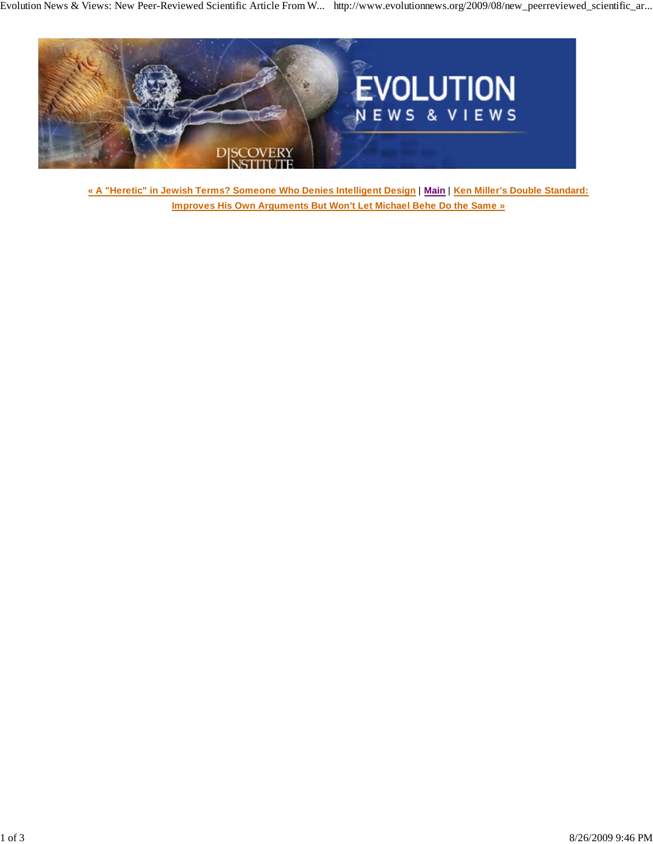

**« A "Heretic" in Jewish Terms? Someone Who Denies Intelligent Design** | **Main** | **Ken Miller's Double Standard: Improves His Own Arguments But Won't Let Michael Behe Do the Same »**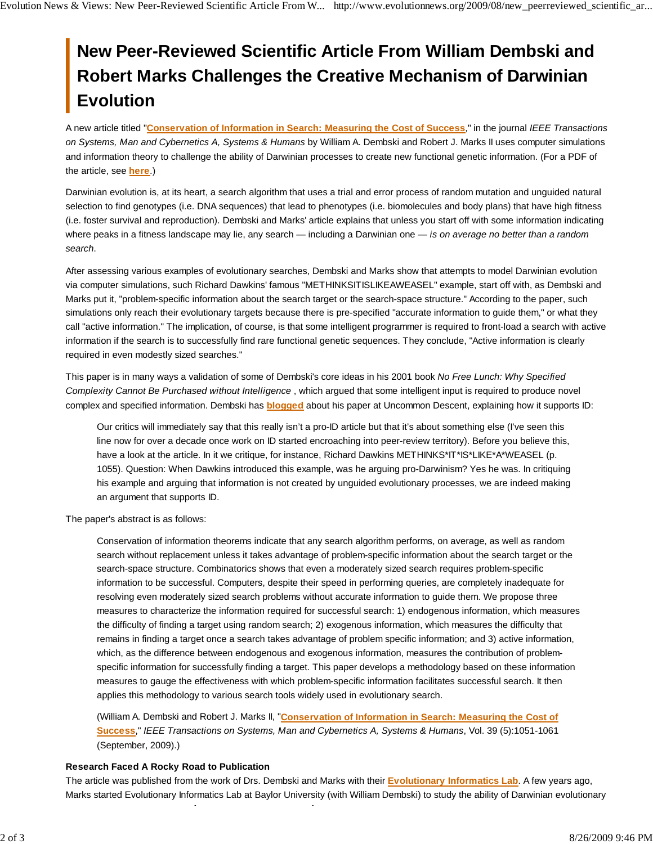## **New Peer-Reviewed Scientific Article From William Dembski and Robert Marks Challenges the Creative Mechanism of Darwinian Evolution**

A new article titled "**Conservation of Information in Search: Measuring the Cost of Success**," in the journal *IEEE Transactions on Systems, Man and Cybernetics A, Systems & Humans* by William A. Dembski and Robert J. Marks II uses computer simulations and information theory to challenge the ability of Darwinian processes to create new functional genetic information. (For a PDF of the article, see **here**.)

Darwinian evolution is, at its heart, a search algorithm that uses a trial and error process of random mutation and unguided natural selection to find genotypes (i.e. DNA sequences) that lead to phenotypes (i.e. biomolecules and body plans) that have high fitness (i.e. foster survival and reproduction). Dembski and Marks' article explains that unless you start off with some information indicating where peaks in a fitness landscape may lie, any search — including a Darwinian one — *is on average no better than a random search*.

After assessing various examples of evolutionary searches, Dembski and Marks show that attempts to model Darwinian evolution via computer simulations, such Richard Dawkins' famous "METHINKSITISLIKEAWEASEL" example, start off with, as Dembski and Marks put it, "problem-specific information about the search target or the search-space structure." According to the paper, such simulations only reach their evolutionary targets because there is pre-specified "accurate information to guide them," or what they call "active information." The implication, of course, is that some intelligent programmer is required to front-load a search with active information if the search is to successfully find rare functional genetic sequences. They conclude, "Active information is clearly required in even modestly sized searches."

This paper is in many ways a validation of some of Dembski's core ideas in his 2001 book *No Free Lunch: Why Specified Complexity Cannot Be Purchased without Intelligence* , which argued that some intelligent input is required to produce novel complex and specified information. Dembski has **blogged** about his paper at Uncommon Descent, explaining how it supports ID:

Our critics will immediately say that this really isn't a pro-ID article but that it's about something else (I've seen this line now for over a decade once work on ID started encroaching into peer-review territory). Before you believe this, have a look at the article. In it we critique, for instance, Richard Dawkins METHINKS\*IT\*IS\*LIKE\*A\*WEASEL (p. 1055). Question: When Dawkins introduced this example, was he arguing pro-Darwinism? Yes he was. In critiquing his example and arguing that information is not created by unguided evolutionary processes, we are indeed making an argument that supports ID.

The paper's abstract is as follows:

Conservation of information theorems indicate that any search algorithm performs, on average, as well as random search without replacement unless it takes advantage of problem-specific information about the search target or the search-space structure. Combinatorics shows that even a moderately sized search requires problem-specific information to be successful. Computers, despite their speed in performing queries, are completely inadequate for resolving even moderately sized search problems without accurate information to guide them. We propose three measures to characterize the information required for successful search: 1) endogenous information, which measures the difficulty of finding a target using random search; 2) exogenous information, which measures the difficulty that remains in finding a target once a search takes advantage of problem specific information; and 3) active information, which, as the difference between endogenous and exogenous information, measures the contribution of problemspecific information for successfully finding a target. This paper develops a methodology based on these information measures to gauge the effectiveness with which problem-specific information facilitates successful search. It then applies this methodology to various search tools widely used in evolutionary search.

(William A. Dembski and Robert J. Marks II, "**Conservation of Information in Search: Measuring the Cost of Success**," *IEEE Transactions on Systems, Man and Cybernetics A, Systems & Humans*, Vol. 39 (5):1051-1061 (September, 2009).)

## **Research Faced A Rocky Road to Publication**

The article was published from the work of Drs. Dembski and Marks with their **Evolutionary Informatics Lab**. A few years ago, Marks started Evolutionary Informatics Lab at Baylor University (with William Dembski) to study the ability of Darwinian evolutionary

f f